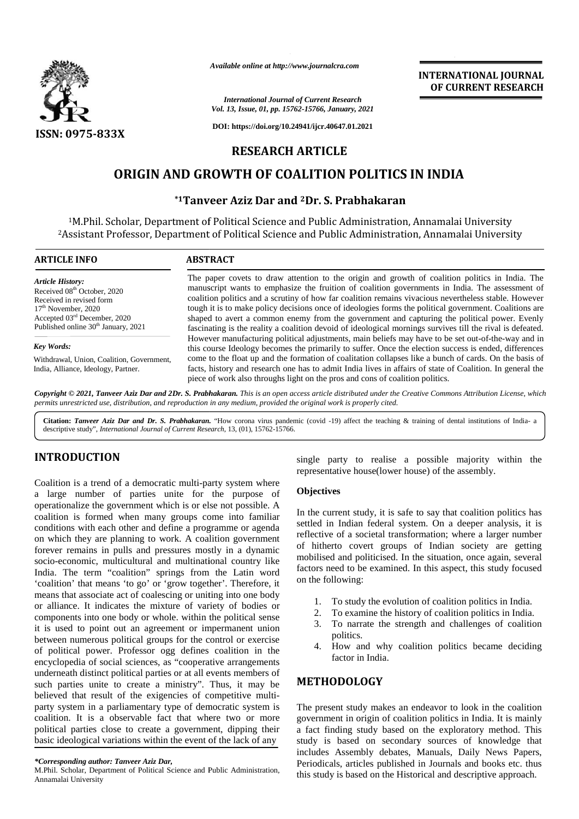

*Available online at http://www.journalcra.com*

# *International Journal of Current Research Vol. 13, Issue, 01, pp. 15762-15766, January, 2021* **https://doi.org/10.24941/ijcr.40647.01.2021<br>3, Issue, 01, pp. 15762-15766, January, 2021<br>https://doi.org/10.24941/ijcr.40647.01.2021**

## **RESEARCH ARTICLE**

# **ORIGIN AND GROWTH OF COALITION POLITICS IN INDIA ORIGIN AND**

## **\*1Tanveer Aziz Dar and <sup>2</sup>Dr. S. Prabhakaran**

|                                                                                                                                                                                                                                                                                                                                                                                                                                                                                                                                                                                        | Available online at http://www.journalcra.com                                                                                                                                                                                                                                                                                                                                                                                                                                                                                                                                                                                                                                                                                             |                                                                                                               | <b>INTERNATIONAL JOURNAL</b><br>OF CURRENT RESEARCH                                                                                                                                                                                                                                                                                                                                                                                                      |
|----------------------------------------------------------------------------------------------------------------------------------------------------------------------------------------------------------------------------------------------------------------------------------------------------------------------------------------------------------------------------------------------------------------------------------------------------------------------------------------------------------------------------------------------------------------------------------------|-------------------------------------------------------------------------------------------------------------------------------------------------------------------------------------------------------------------------------------------------------------------------------------------------------------------------------------------------------------------------------------------------------------------------------------------------------------------------------------------------------------------------------------------------------------------------------------------------------------------------------------------------------------------------------------------------------------------------------------------|---------------------------------------------------------------------------------------------------------------|----------------------------------------------------------------------------------------------------------------------------------------------------------------------------------------------------------------------------------------------------------------------------------------------------------------------------------------------------------------------------------------------------------------------------------------------------------|
|                                                                                                                                                                                                                                                                                                                                                                                                                                                                                                                                                                                        |                                                                                                                                                                                                                                                                                                                                                                                                                                                                                                                                                                                                                                                                                                                                           | <b>International Journal of Current Research</b><br>Vol. 13, Issue, 01, pp. 15762-15766, January, 2021        |                                                                                                                                                                                                                                                                                                                                                                                                                                                          |
| <b>ISSN: 0975-833X</b>                                                                                                                                                                                                                                                                                                                                                                                                                                                                                                                                                                 |                                                                                                                                                                                                                                                                                                                                                                                                                                                                                                                                                                                                                                                                                                                                           | DOI: https://doi.org/10.24941/ijcr.40647.01.2021                                                              |                                                                                                                                                                                                                                                                                                                                                                                                                                                          |
|                                                                                                                                                                                                                                                                                                                                                                                                                                                                                                                                                                                        |                                                                                                                                                                                                                                                                                                                                                                                                                                                                                                                                                                                                                                                                                                                                           | <b>RESEARCH ARTICLE</b>                                                                                       |                                                                                                                                                                                                                                                                                                                                                                                                                                                          |
|                                                                                                                                                                                                                                                                                                                                                                                                                                                                                                                                                                                        |                                                                                                                                                                                                                                                                                                                                                                                                                                                                                                                                                                                                                                                                                                                                           | ORIGIN AND GROWTH OF COALITION POLITICS IN INDIA                                                              |                                                                                                                                                                                                                                                                                                                                                                                                                                                          |
|                                                                                                                                                                                                                                                                                                                                                                                                                                                                                                                                                                                        |                                                                                                                                                                                                                                                                                                                                                                                                                                                                                                                                                                                                                                                                                                                                           | *1Tanveer Aziz Dar and <sup>2</sup> Dr. S. Prabhakaran                                                        |                                                                                                                                                                                                                                                                                                                                                                                                                                                          |
| <sup>2</sup> Assistant Professor, Department of Political Science and Public Administration, Annamalai University                                                                                                                                                                                                                                                                                                                                                                                                                                                                      |                                                                                                                                                                                                                                                                                                                                                                                                                                                                                                                                                                                                                                                                                                                                           | <sup>1</sup> M.Phil. Scholar, Department of Political Science and Public Administration, Annamalai University |                                                                                                                                                                                                                                                                                                                                                                                                                                                          |
| <b>ARTICLE INFO</b>                                                                                                                                                                                                                                                                                                                                                                                                                                                                                                                                                                    | <b>ABSTRACT</b>                                                                                                                                                                                                                                                                                                                                                                                                                                                                                                                                                                                                                                                                                                                           |                                                                                                               |                                                                                                                                                                                                                                                                                                                                                                                                                                                          |
| <b>Article History:</b><br>Received 08 <sup>th</sup> October, 2020<br>Received in revised form<br>17 <sup>th</sup> November, 2020<br>Accepted 03rd December, 2020<br>Published online 30 <sup>th</sup> January, 2021                                                                                                                                                                                                                                                                                                                                                                   | The paper covets to draw attention to the origin and growth of coalition politics in India. The<br>manuscript wants to emphasize the fruition of coalition governments in India. The assessment of<br>coalition politics and a scrutiny of how far coalition remains vivacious nevertheless stable. However<br>tough it is to make policy decisions once of ideologies forms the political government. Coalitions are<br>shaped to avert a common enemy from the government and capturing the political power. Evenly<br>fascinating is the reality a coalition devoid of ideological mornings survives till the rival is defeated.<br>However manufacturing political adjustments, main beliefs may have to be set out-of-the-way and in |                                                                                                               |                                                                                                                                                                                                                                                                                                                                                                                                                                                          |
| <b>Key Words:</b>                                                                                                                                                                                                                                                                                                                                                                                                                                                                                                                                                                      |                                                                                                                                                                                                                                                                                                                                                                                                                                                                                                                                                                                                                                                                                                                                           |                                                                                                               | this course Ideology becomes the primarily to suffer. Once the election success is ended, differences                                                                                                                                                                                                                                                                                                                                                    |
| Withdrawal, Union, Coalition, Government,<br>India, Alliance, Ideology, Partner.                                                                                                                                                                                                                                                                                                                                                                                                                                                                                                       | come to the float up and the formation of coalitation collapses like a bunch of cards. On the basis of<br>facts, history and research one has to admit India lives in affairs of state of Coalition. In general the<br>piece of work also throughs light on the pros and cons of coalition politics.                                                                                                                                                                                                                                                                                                                                                                                                                                      |                                                                                                               |                                                                                                                                                                                                                                                                                                                                                                                                                                                          |
| Copyright © 2021, Tanveer Aziz Dar and 2Dr. S. Prabhakaran. This is an open access article distributed under the Creative Commons Attribution License, which<br>permits unrestricted use, distribution, and reproduction in any medium, provided the original work is properly cited.                                                                                                                                                                                                                                                                                                  |                                                                                                                                                                                                                                                                                                                                                                                                                                                                                                                                                                                                                                                                                                                                           |                                                                                                               |                                                                                                                                                                                                                                                                                                                                                                                                                                                          |
| Citation: Tanveer Aziz Dar and Dr. S. Prabhakaran. "How corona virus pandemic (covid -19) affect the teaching & training of dental institutions of India- a<br>descriptive study", International Journal of Current Research, 13, (01), 15762-15766.                                                                                                                                                                                                                                                                                                                                   |                                                                                                                                                                                                                                                                                                                                                                                                                                                                                                                                                                                                                                                                                                                                           |                                                                                                               |                                                                                                                                                                                                                                                                                                                                                                                                                                                          |
| <b>INTRODUCTION</b>                                                                                                                                                                                                                                                                                                                                                                                                                                                                                                                                                                    |                                                                                                                                                                                                                                                                                                                                                                                                                                                                                                                                                                                                                                                                                                                                           | representative house(lower house) of the assembly.                                                            | single party to realise a possible majority within the                                                                                                                                                                                                                                                                                                                                                                                                   |
| Coalition is a trend of a democratic multi-party system where<br>a large number of parties unite for the purpose of                                                                                                                                                                                                                                                                                                                                                                                                                                                                    |                                                                                                                                                                                                                                                                                                                                                                                                                                                                                                                                                                                                                                                                                                                                           | <b>Objectives</b>                                                                                             |                                                                                                                                                                                                                                                                                                                                                                                                                                                          |
| operationalize the government which is or else not possible. A<br>coalition is formed when many groups come into familiar<br>conditions with each other and define a programme or agenda<br>on which they are planning to work. A coalition government<br>forever remains in pulls and pressures mostly in a dynamic<br>socio-economic, multicultural and multinational country like<br>India. The term "coalition" springs from the Latin word<br>'coalition' that means 'to go' or 'grow together'. Therefore, it<br>means that associate act of coalescing or uniting into one body |                                                                                                                                                                                                                                                                                                                                                                                                                                                                                                                                                                                                                                                                                                                                           | on the following:                                                                                             | In the current study, it is safe to say that coalition politics has<br>settled in Indian federal system. On a deeper analysis, it is<br>reflective of a societal transformation; where a larger number<br>of hitherto covert groups of Indian society are getting<br>mobilised and politicised. In the situation, once again, several<br>factors need to be examined. In this aspect, this study focused                                                 |
| or alliance. It indicates the mixture of variety of bodies or<br>components into one body or whole. within the political sense<br>it is used to point out an agreement or impermanent union<br>between numerous political groups for the control or exercise<br>of political power. Professor ogg defines coalition in the<br>encyclopedia of social sciences, as "cooperative arrangements                                                                                                                                                                                            |                                                                                                                                                                                                                                                                                                                                                                                                                                                                                                                                                                                                                                                                                                                                           | 1.<br>2.<br>3.<br>politics.<br>4.<br>factor in India.                                                         | To study the evolution of coalition politics in India.<br>To examine the history of coalition politics in India.<br>To narrate the strength and challenges of coalition<br>How and why coalition politics became deciding                                                                                                                                                                                                                                |
| underneath distinct political parties or at all events members of<br>such parties unite to create a ministry". Thus, it may be                                                                                                                                                                                                                                                                                                                                                                                                                                                         |                                                                                                                                                                                                                                                                                                                                                                                                                                                                                                                                                                                                                                                                                                                                           | <b>METHODOLOGY</b>                                                                                            |                                                                                                                                                                                                                                                                                                                                                                                                                                                          |
| believed that result of the exigencies of competitive multi-<br>party system in a parliamentary type of democratic system is<br>coalition. It is a observable fact that where two or more<br>political parties close to create a government, dipping their<br>basic ideological variations within the event of the lack of any<br>*Corresponding author: Tanveer Aziz Dar,<br>M.Phil. Scholar, Department of Political Science and Public Administration,<br>Annomoloi University                                                                                                      |                                                                                                                                                                                                                                                                                                                                                                                                                                                                                                                                                                                                                                                                                                                                           |                                                                                                               | The present study makes an endeavor to look in the coalition<br>government in origin of coalition politics in India. It is mainly<br>a fact finding study based on the exploratory method. This<br>study is based on secondary sources of knowledge that<br>includes Assembly debates, Manuals, Daily News Papers,<br>Periodicals, articles published in Journals and books etc. thus<br>this study is based on the Historical and descriptive approach. |

## **INTRODUCTION INTRODUCTION**

#### **Objectives**

- 1. To study the evolution of coalition politics in India.
- 2. To examine the history of coalition politics in India.
- 3. To narrate the strength and challenges of coalition politics.
- 4. How and why coalition politics became deciding factor in India.

## **METHODOLOGY**

*<sup>\*</sup>Corresponding author: Tanveer Aziz Dar, \*Corresponding* 

M.Phil. Scholar, Department of Political Science and Public Administration, Annamalai University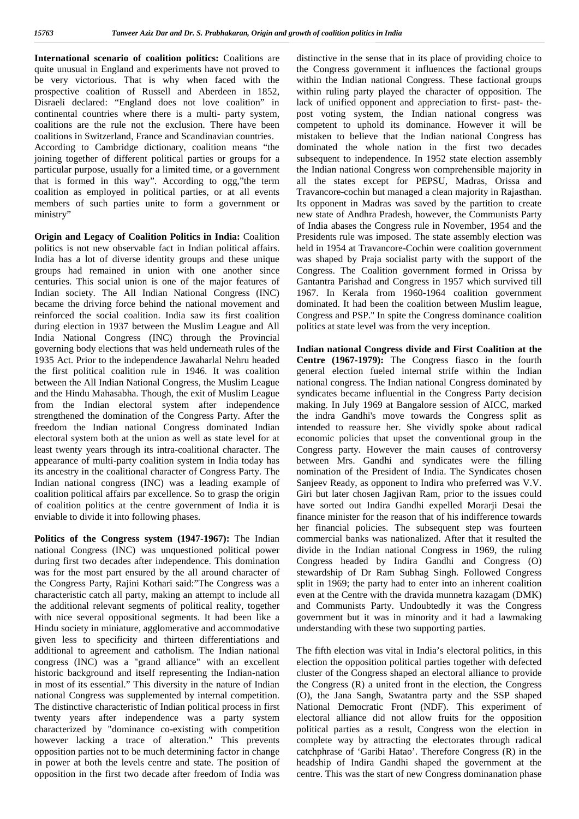**International scenario of coalition politics:** Coalitions are quite unusual in England and experiments have not proved to be very victorious. That is why when faced with the prospective coalition of Russell and Aberdeen in 1852, Disraeli declared: "England does not love coalition" in continental countries where there is a multi- party system, coalitions are the rule not the exclusion. There have been coalitions in Switzerland, France and Scandinavian countries. According to Cambridge dictionary, coalition means "the joining together of different political parties or groups for a particular purpose, usually for a limited time, or a government that is formed in this way". According to ogg,"the term coalition as employed in political parties, or at all events members of such parties unite to form a government or ministry"

**Origin and Legacy of Coalition Politics in India:** Coalition politics is not new observable fact in Indian political affairs. India has a lot of diverse identity groups and these unique groups had remained in union with one another since centuries. This social union is one of the major features of Indian society. The All Indian National Congress (INC) became the driving force behind the national movement and reinforced the social coalition. India saw its first coalition during election in 1937 between the Muslim League and All India National Congress (INC) through the Provincial governing body elections that was held underneath rules of the 1935 Act. Prior to the independence Jawaharlal Nehru headed the first political coalition rule in 1946. It was coalition between the All Indian National Congress, the Muslim League and the Hindu Mahasabha. Though, the exit of Muslim League from the Indian electoral system after independence strengthened the domination of the Congress Party. After the freedom the Indian national Congress dominated Indian electoral system both at the union as well as state level for at least twenty years through its intra-coalitional character. The appearance of multi-party coalition system in India today has its ancestry in the coalitional character of Congress Party. The Indian national congress (INC) was a leading example of coalition political affairs par excellence. So to grasp the origin of coalition politics at the centre government of India it is enviable to divide it into following phases.

**Politics of the Congress system (1947-1967):** The Indian national Congress (INC) was unquestioned political power during first two decades after independence. This domination was for the most part ensured by the all around character of the Congress Party, Rajini Kothari said:"The Congress was a characteristic catch all party, making an attempt to include all the additional relevant segments of political reality, together with nice several oppositional segments. It had been like a Hindu society in miniature, agglomerative and accommodative given less to specificity and thirteen differentiations and additional to agreement and catholism. The Indian national congress (INC) was a "grand alliance" with an excellent historic background and itself representing the Indian-nation in most of its essential." This diversity in the nature of Indian national Congress was supplemented by internal competition. The distinctive characteristic of Indian political process in first twenty years after independence was a party system characterized by "dominance co-existing with competition however lacking a trace of alteration." This prevents opposition parties not to be much determining factor in change in power at both the levels centre and state. The position of opposition in the first two decade after freedom of India was

distinctive in the sense that in its place of providing choice to the Congress government it influences the factional groups within the Indian national Congress. These factional groups within ruling party played the character of opposition. The lack of unified opponent and appreciation to first- past- the post voting system, the Indian national congress was competent to uphold its dominance. However it will be mistaken to believe that the Indian national Congress has dominated the whole nation in the first two decades subsequent to independence. In 1952 state election assembly the Indian national Congress won comprehensible majority in all the states except for PEPSU, Madras, Orissa and Travancore-cochin but managed a clean majority in Rajasthan. Its opponent in Madras was saved by the partition to create new state of Andhra Pradesh, however, the Communists Party of India abases the Congress rule in November, 1954 and the Presidents rule was imposed. The state assembly election was held in 1954 at Travancore-Cochin were coalition government was shaped by Praja socialist party with the support of the Congress. The Coalition government formed in Orissa by Gantantra Parishad and Congress in 1957 which survived till 1967. In Kerala from 1960-1964 coalition government dominated. It had been the coalition between Muslim league, Congress and PSP.'' In spite the Congress dominance coalition politics at state level was from the very inception.

**Indian national Congress divide and First Coalition at the Centre (1967-1979):** The Congress fiasco in the fourth general election fueled internal strife within the Indian national congress. The Indian national Congress dominated by syndicates became influential in the Congress Party decision making. In July 1969 at Bangalore session of AICC, marked the indra Gandhi's move towards the Congress split as intended to reassure her. She vividly spoke about radical economic policies that upset the conventional group in the Congress party. However the main causes of controversy between Mrs. Gandhi and syndicates were the filling nomination of the President of India. The Syndicates chosen Sanjeev Ready, as opponent to Indira who preferred was V.V. Giri but later chosen Jagjivan Ram, prior to the issues could have sorted out Indira Gandhi expelled Morarji Desai the finance minister for the reason that of his indifference towards her financial policies. The subsequent step was fourteen commercial banks was nationalized. After that it resulted the divide in the Indian national Congress in 1969, the ruling Congress headed by Indira Gandhi and Congress (O) stewardship of Dr Ram Subhag Singh. Followed Congress split in 1969; the party had to enter into an inherent coalition even at the Centre with the dravida munnetra kazagam (DMK) and Communists Party. Undoubtedly it was the Congress government but it was in minority and it had a lawmaking understanding with these two supporting parties.

The fifth election was vital in India's electoral politics, in this election the opposition political parties together with defected cluster of the Congress shaped an electoral alliance to provide the Congress (R) a united front in the election, the Congress (O), the Jana Sangh, Swatantra party and the SSP shaped National Democratic Front (NDF). This experiment of electoral alliance did not allow fruits for the opposition political parties as a result, Congress won the election in complete way by attracting the electorates through radical catchphrase of 'Garibi Hatao'. Therefore Congress (R) in the headship of Indira Gandhi shaped the government at the centre. This was the start of new Congress dominanation phase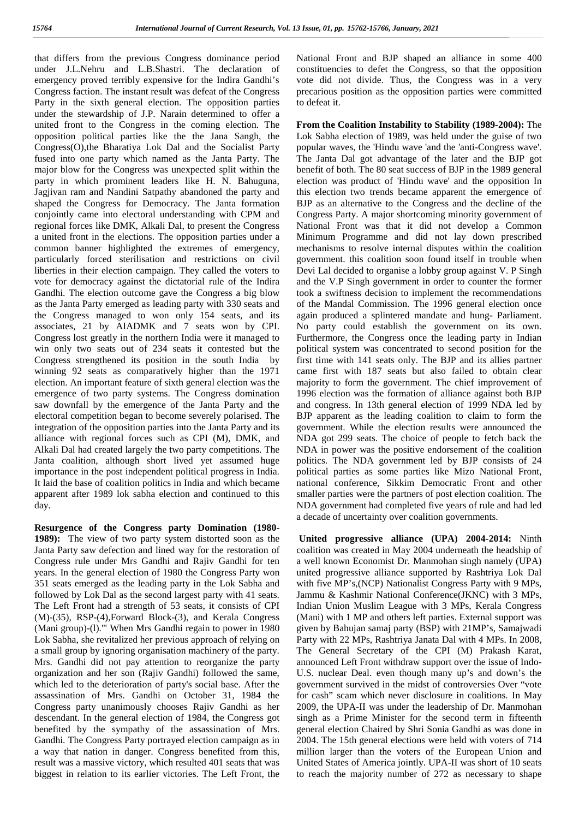that differs from the previous Congress dominance period under J.L.Nehru and L.B.Shastri. The declaration of emergency proved terribly expensive for the Indira Gandhi's Congress faction. The instant result was defeat of the Congress Party in the sixth general election. The opposition parties under the stewardship of J.P. Narain determined to offer a united front to the Congress in the coming election. The opposition political parties like the the Jana Sangh, the Congress(O),the Bharatiya Lok Dal and the Socialist Party fused into one party which named as the Janta Party. The major blow for the Congress was unexpected split within the party in which prominent leaders like H. N. Bahuguna, Jagjivan ram and Nandini Satpathy abandoned the party and shaped the Congress for Democracy. The Janta formation conjointly came into electoral understanding with CPM and regional forces like DMK, Alkali Dal, to present the Congress a united front in the elections. The opposition parties under a common banner highlighted the extremes of emergency, particularly forced sterilisation and restrictions on civil liberties in their election campaign. They called the voters to vote for democracy against the dictatorial rule of the Indira Gandhi. The election outcome gave the Congress a big blow as the Janta Party emerged as leading party with 330 seats and the Congress managed to won only 154 seats, and its associates, 21 by AIADMK and 7 seats won by CPI. Congress lost greatly in the northern India were it managed to win only two seats out of 234 seats it contested but the Congress strengthened its position in the south India by winning 92 seats as comparatively higher than the 1971 election. An important feature of sixth general election was the emergence of two party systems. The Congress domination saw downfall by the emergence of the Janta Party and the electoral competition began to become severely polarised. The integration of the opposition parties into the Janta Party and its alliance with regional forces such as CPI (M), DMK, and Alkali Dal had created largely the two party competitions. The Janta coalition, although short lived yet assumed huge importance in the post independent political progress in India. It laid the base of coalition politics in India and which became apparent after 1989 lok sabha election and continued to this day.

**Resurgence of the Congress party Domination (1980- 1989):** The view of two party system distorted soon as the Janta Party saw defection and lined way for the restoration of Congress rule under Mrs Gandhi and Rajiv Gandhi for ten years. In the general election of 1980 the Congress Party won 351 seats emerged as the leading party in the Lok Sabha and followed by Lok Dal as the second largest party with 41 seats. The Left Front had a strength of 53 seats, it consists of CPI (M)-(35), RSP-(4),Forward Block-(3), and Kerala Congress (Mani group)-(l).'" When Mrs Gandhi regain to power in 1980 Lok Sabha, she revitalized her previous approach of relying on a small group by ignoring organisation machinery of the party. Mrs. Gandhi did not pay attention to reorganize the party organization and her son (Rajiv Gandhi) followed the same, which led to the deterioration of party's social base. After the assassination of Mrs. Gandhi on October 31, 1984 the Congress party unanimously chooses Rajiv Gandhi as her descendant. In the general election of 1984, the Congress got benefited by the sympathy of the assassination of Mrs. Gandhi. The Congress Party portrayed election campaign as in a way that nation in danger. Congress benefited from this, result was a massive victory, which resulted 401 seats that was biggest in relation to its earlier victories. The Left Front, the

National Front and BJP shaped an alliance in some 400 constituencies to defet the Congress, so that the opposition vote did not divide. Thus, the Congress was in a very precarious position as the opposition parties were committed to defeat it.

**From the Coalition Instability to Stability (1989-2004):** The Lok Sabha election of 1989, was held under the guise of two popular waves, the 'Hindu wave 'and the 'anti-Congress wave'. The Janta Dal got advantage of the later and the BJP got benefit of both. The 80 seat success of BJP in the 1989 general election was product of 'Hindu wave' and the opposition In this election two trends became apparent the emergence of BJP as an alternative to the Congress and the decline of the Congress Party. A major shortcoming minority government of National Front was that it did not develop a Common Minimum Programme and did not lay down prescribed mechanisms to resolve internal disputes within the coalition government. this coalition soon found itself in trouble when Devi Lal decided to organise a lobby group against V. P Singh and the V.P Singh government in order to counter the former took a swiftness decision to implement the recommendations of the Mandal Commission. The 1996 general election once again produced a splintered mandate and hung- Parliament. No party could establish the government on its own. Furthermore, the Congress once the leading party in Indian political system was concentrated to second position for the first time with 141 seats only. The BJP and its allies partner came first with 187 seats but also failed to obtain clear majority to form the government. The chief improvement of 1996 election was the formation of alliance against both BJP and congress. In 13th general election of 1999 NDA led by BJP apparent as the leading coalition to claim to form the government. While the election results were announced the NDA got 299 seats. The choice of people to fetch back the NDA in power was the positive endorsement of the coalition politics. The NDA government led by BJP consists of 24 political parties as some parties like Mizo National Front, national conference, Sikkim Democratic Front and other smaller parties were the partners of post election coalition. The NDA government had completed five years of rule and had led a decade of uncertainty over coalition governments.

**United progressive alliance (UPA) 2004-2014:** Ninth coalition was created in May 2004 underneath the headship of a well known Economist Dr. Manmohan singh namely (UPA) united progressive alliance supported by Rashtriya Lok Dal with five MP's,(NCP) Nationalist Congress Party with 9 MPs, Jammu & Kashmir National Conference(JKNC) with 3 MPs, Indian Union Muslim League with 3 MPs, Kerala Congress (Mani) with 1 MP and others left parties. External support was given by Bahujan samaj party (BSP) with 21MP's, Samajwadi Party with 22 MPs, Rashtriya Janata Dal with 4 MPs. In 2008, The General Secretary of the CPI (M) Prakash Karat, announced Left Front withdraw support over the issue of Indo- U.S. nuclear Deal. even though many up's and down's the government survived in the midst of controversies Over "vote for cash" scam which never disclosure in coalitions. In May 2009, the UPA-II was under the leadership of Dr. Manmohan singh as a Prime Minister for the second term in fifteenth general election Chaired by Shri Sonia Gandhi as was done in 2004. The 15th general elections were held with voters of 714 million larger than the voters of the European Union and United States of America jointly. UPA-II was short of 10 seats to reach the majority number of 272 as necessary to shape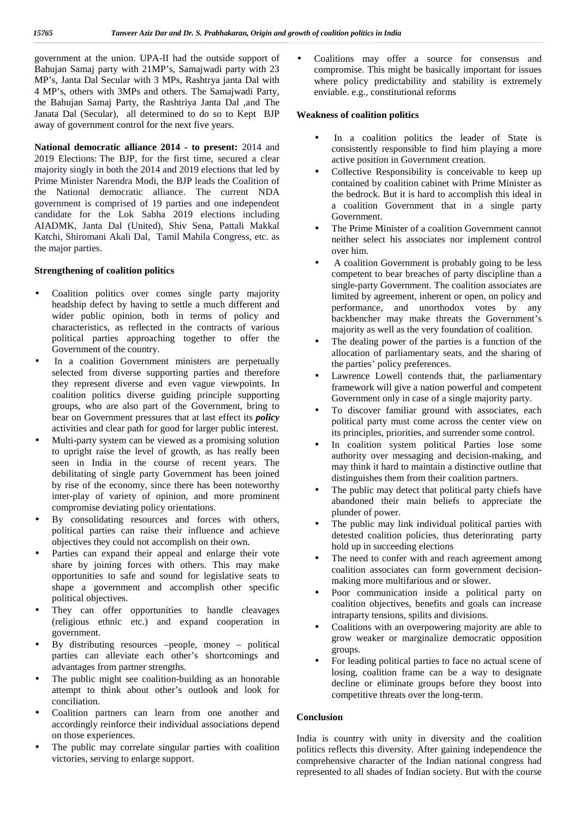government at the union. UPA-II had the outside support of Bahujan Samaj party with 21MP's, Samajwadi party with 23 MP's, Janta Dal Secular with 3 MPs, Rashtrya janta Dal with 4 MP's, others with 3MPs and others. The Samajwadi Party, the Bahujan Samaj Party, the Rashtriya Janta Dal ,and The Janata Dal (Secular), all determined to do so to Kept BJP away of government control for the next five years.

**National democratic alliance 2014 - to present:** 2014 and 2019 Elections: The BJP, for the first time, secured a clear majority singly in both the 2014 and 2019 elections that led by Prime Minister Narendra Modi, the BJP leads the Coalition of the National democratic alliance. The current NDA government is comprised of 19 parties and one independent candidate for the Lok Sabha 2019 elections including AIADMK, Janta Dal (United), Shiv Sena, Pattali Makkal Katchi, Shiromani Akali Dal, Tamil Mahila Congress, etc. as the major parties.

#### **Strengthening of coalition politics**

- Coalition politics over comes single party majority headship defect by having to settle a much different and wider public opinion, both in terms of policy and characteristics, as reflected in the contracts of various political parties approaching together to offer the Government of the country.
- In a coalition Government ministers are perpetually selected from diverse supporting parties and therefore they represent diverse and even vague viewpoints. In coalition politics diverse guiding principle supporting groups, who are also part of the Government, bring to bear on Government pressures that at last effect its *policy* activities and clear path for good for larger public interest.
- Multi-party system can be viewed as a promising solution to upright raise the level of growth, as has really been seen in India in the course of recent years. The debilitating of single party Government has been joined by rise of the economy, since there has been noteworthy inter-play of variety of opinion, and more prominent compromise deviating policy orientations.
- By consolidating resources and forces with others, political parties can raise their influence and achieve objectives they could not accomplish on their own.
- Parties can expand their appeal and enlarge their vote share by joining forces with others. This may make opportunities to safe and sound for legislative seats to shape a government and accomplish other specific political objectives.
- They can offer opportunities to handle cleavages (religious ethnic etc.) and expand cooperation in government.
- By distributing resources –people, money political parties can alleviate each other's shortcomings and advantages from partner strengths.
- The public might see coalition-building as an honorable attempt to think about other's outlook and look for conciliation.
- Coalition partners can learn from one another and accordingly reinforce their individual associations depend on those experiences.
- The public may correlate singular parties with coalition victories, serving to enlarge support.

 Coalitions may offer a source for consensus and compromise. This might be basically important for issues where policy predictability and stability is extremely enviable. e.g., constitutional reforms

#### **Weakness of coalition politics**

- In a coalition politics the leader of State is consistently responsible to find him playing a more active position in Government creation.
- Collective Responsibility is conceivable to keep up contained by coalition cabinet with Prime Minister as the bedrock. But it is hard to accomplish this ideal in a coalition Government that in a single party Government.
- The Prime Minister of a coalition Government cannot neither select his associates nor implement control over him.
- A coalition Government is probably going to be less competent to bear breaches of party discipline than a single-party Government. The coalition associates are limited by agreement, inherent or open, on policy and performance, and unorthodox votes by any backbencher may make threats the Government's majority as well as the very foundation of coalition.
- The dealing power of the parties is a function of the allocation of parliamentary seats, and the sharing of the parties' policy preferences.
- Lawrence Lowell contends that, the parliamentary framework will give a nation powerful and competent Government only in case of a single majority party.
- To discover familiar ground with associates, each political party must come across the center view on its principles, priorities, and surrender some control.
- In coalition system political Parties lose some authority over messaging and decision-making, and may think it hard to maintain a distinctive outline that distinguishes them from their coalition partners.
- The public may detect that political party chiefs have abandoned their main beliefs to appreciate the plunder of power.
- The public may link individual political parties with detested coalition policies, thus deteriorating party hold up in succeeding elections
- The need to confer with and reach agreement among coalition associates can form government decision making more multifarious and or slower.
- Poor communication inside a political party on coalition objectives, benefits and goals can increase intraparty tensions, spilits and divisions.
- Coalitions with an overpowering majority are able to grow weaker or marginalize democratic opposition groups.
- For leading political parties to face no actual scene of losing, coalition frame can be a way to designate decline or eliminate groups before they boost into competitive threats over the long-term.

#### **Conclusion**

India is country with unity in diversity and the coalition politics reflects this diversity. After gaining independence the comprehensive character of the Indian national congress had represented to all shades of Indian society. But with the course